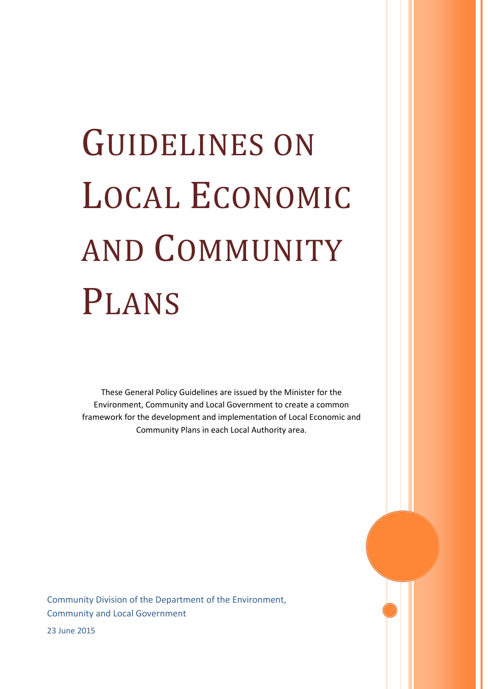# GUIDELINES ON LOCAL ECONOMIC AND COMMUNITY PLANS

These General Policy Guidelines are issued by the Minister for the Environment, Community and Local Government to create a common framework for the development and implementation of Local Economic and Community Plans in each Local Authority area.

Community Division of the Department of the Environment, Community and Local Government

23 June 2015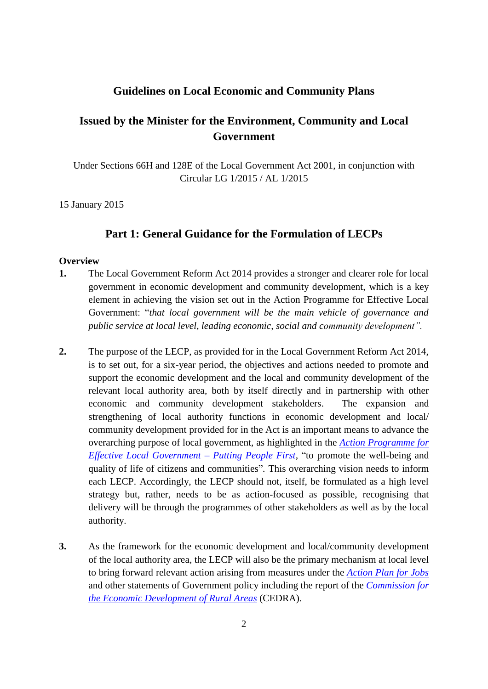# **Guidelines on Local Economic and Community Plans**

# **Issued by the Minister for the Environment, Community and Local Government**

Under Sections 66H and 128E of the Local Government Act 2001, in conjunction with Circular LG 1/2015 / AL 1/2015

15 January 2015

# **Part 1: General Guidance for the Formulation of LECPs**

#### **Overview**

- **1.** The Local Government Reform Act 2014 provides a stronger and clearer role for local government in economic development and community development, which is a key element in achieving the vision set out in the Action Programme for Effective Local Government: "*that local government will be the main vehicle of governance and public service at local level, leading economic, social and community development".*
- **2.** The purpose of the LECP, as provided for in the Local Government Reform Act 2014, is to set out, for a six-year period, the objectives and actions needed to promote and support the economic development and the local and community development of the relevant local authority area, both by itself directly and in partnership with other economic and community development stakeholders. The expansion and strengthening of local authority functions in economic development and local/ community development provided for in the Act is an important means to advance the overarching purpose of local government, as highlighted in the *[Action Programme for](http://www.environ.ie/en/PublicationsDocuments/FileDownLoad,31309,en.pdf)  [Effective Local Government –](http://www.environ.ie/en/PublicationsDocuments/FileDownLoad,31309,en.pdf) Putting People First,* "to promote the well-being and quality of life of citizens and communities"*.* This overarching vision needs to inform each LECP. Accordingly, the LECP should not, itself, be formulated as a high level strategy but, rather, needs to be as action-focused as possible, recognising that delivery will be through the programmes of other stakeholders as well as by the local authority.
- **3.** As the framework for the economic development and local/community development of the local authority area, the LECP will also be the primary mechanism at local level to bring forward relevant action arising from measures under the *[Action Plan for Jobs](http://www.djei.ie/enterprise/apj.htm)* and other statements of Government policy including the report of the *[Commission for](http://www.agresearch.teagasc.ie/rerc/CEDRA/CEDRA_Report.pdf)  [the Economic Development of Rural Areas](http://www.agresearch.teagasc.ie/rerc/CEDRA/CEDRA_Report.pdf)* (CEDRA).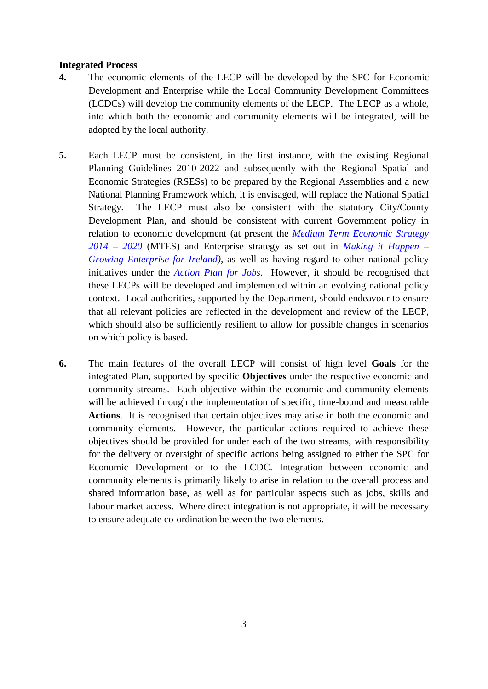#### **Integrated Process**

- **4.** The economic elements of the LECP will be developed by the SPC for Economic Development and Enterprise while the Local Community Development Committees (LCDCs) will develop the community elements of the LECP. The LECP as a whole, into which both the economic and community elements will be integrated, will be adopted by the local authority.
- **5.** Each LECP must be consistent, in the first instance, with the existing Regional Planning Guidelines 2010-2022 and subsequently with the Regional Spatial and Economic Strategies (RSESs) to be prepared by the Regional Assemblies and a new National Planning Framework which, it is envisaged, will replace the National Spatial Strategy. The LECP must also be consistent with the statutory City/County Development Plan, and should be consistent with current Government policy in relation to economic development (at present the *[Medium Term Economic Strategy](http://mtes2020.finance.gov.ie/)  [2014 –](http://mtes2020.finance.gov.ie/) 2020* (MTES) and Enterprise strategy as set out in *[Making it Happen –](http://www.forfas.ie/media/Forfas100924-Making_It_Happen-Growing_Enterprise_for_Ireland.pdf) [Growing Enterprise for Ireland\)](http://www.forfas.ie/media/Forfas100924-Making_It_Happen-Growing_Enterprise_for_Ireland.pdf)*, as well as having regard to other national policy initiatives under the *[Action Plan for Jobs](http://www.djei.ie/enterprise/apj.htm)*. However, it should be recognised that these LECPs will be developed and implemented within an evolving national policy context. Local authorities, supported by the Department, should endeavour to ensure that all relevant policies are reflected in the development and review of the LECP, which should also be sufficiently resilient to allow for possible changes in scenarios on which policy is based.
- **6.** The main features of the overall LECP will consist of high level **Goals** for the integrated Plan, supported by specific **Objectives** under the respective economic and community streams. Each objective within the economic and community elements will be achieved through the implementation of specific, time-bound and measurable **Actions**. It is recognised that certain objectives may arise in both the economic and community elements. However, the particular actions required to achieve these objectives should be provided for under each of the two streams, with responsibility for the delivery or oversight of specific actions being assigned to either the SPC for Economic Development or to the LCDC. Integration between economic and community elements is primarily likely to arise in relation to the overall process and shared information base, as well as for particular aspects such as jobs, skills and labour market access. Where direct integration is not appropriate, it will be necessary to ensure adequate co-ordination between the two elements.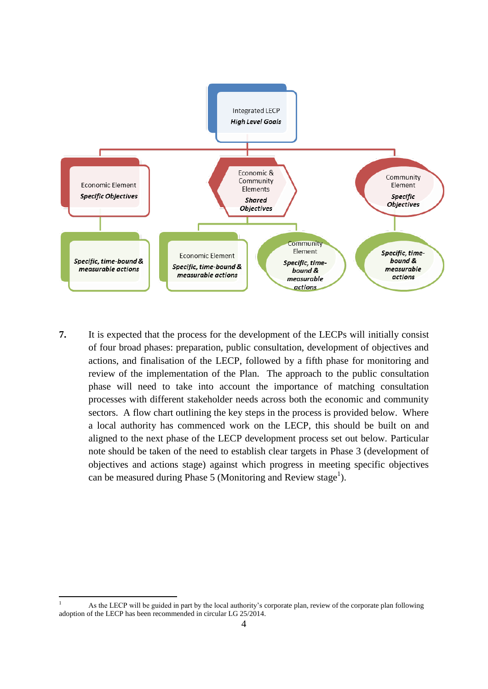

**7.** It is expected that the process for the development of the LECPs will initially consist of four broad phases: preparation, public consultation, development of objectives and actions, and finalisation of the LECP, followed by a fifth phase for monitoring and review of the implementation of the Plan. The approach to the public consultation phase will need to take into account the importance of matching consultation processes with different stakeholder needs across both the economic and community sectors. A flow chart outlining the key steps in the process is provided below. Where a local authority has commenced work on the LECP, this should be built on and aligned to the next phase of the LECP development process set out below. Particular note should be taken of the need to establish clear targets in Phase 3 (development of objectives and actions stage) against which progress in meeting specific objectives can be measured during Phase 5 (Monitoring and Review stage<sup>1</sup>).

**.** 

As the LECP will be guided in part by the local authority's corporate plan, review of the corporate plan following adoption of the LECP has been recommended in circular LG 25/2014.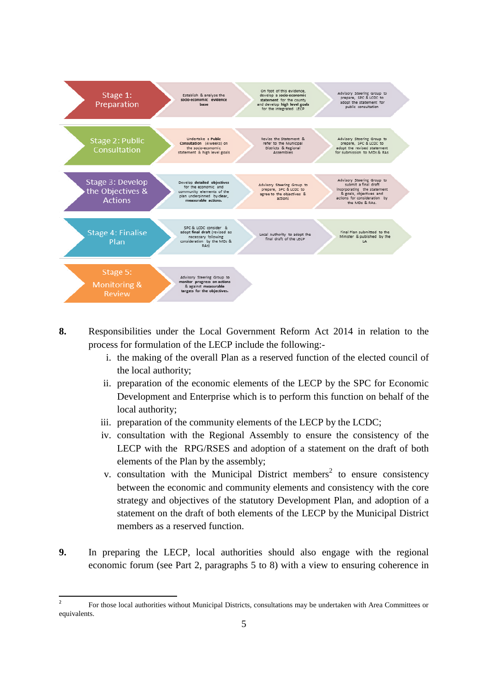

- **8.** Responsibilities under the Local Government Reform Act 2014 in relation to the process for formulation of the LECP include the following:
	- i. the making of the overall Plan as a reserved function of the elected council of the local authority;
	- ii. preparation of the economic elements of the LECP by the SPC for Economic Development and Enterprise which is to perform this function on behalf of the local authority;
	- iii. preparation of the community elements of the LECP by the LCDC;
	- iv. consultation with the Regional Assembly to ensure the consistency of the LECP with the RPG/RSES and adoption of a statement on the draft of both elements of the Plan by the assembly;
	- v. consultation with the Municipal District members<sup>2</sup> to ensure consistency between the economic and community elements and consistency with the core strategy and objectives of the statutory Development Plan, and adoption of a statement on the draft of both elements of the LECP by the Municipal District members as a reserved function.
- **9.** In preparing the LECP, local authorities should also engage with the regional economic forum (see Part 2, paragraphs 5 to 8) with a view to ensuring coherence in

 $\frac{1}{2}$ For those local authorities without Municipal Districts, consultations may be undertaken with Area Committees or equivalents.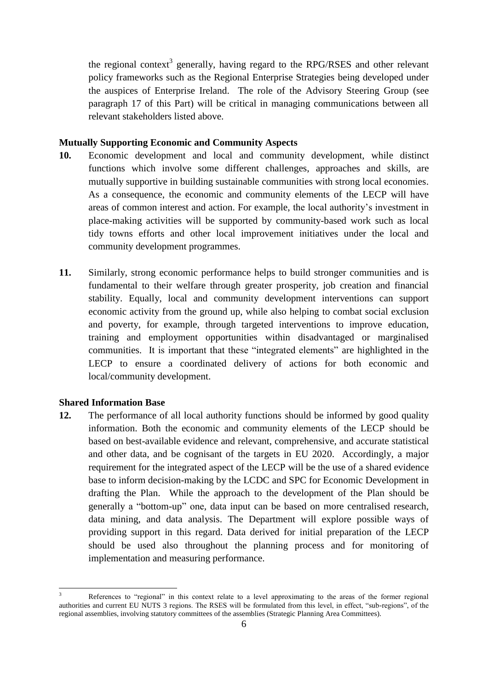the regional context<sup>3</sup> generally, having regard to the RPG/RSES and other relevant policy frameworks such as the Regional Enterprise Strategies being developed under the auspices of Enterprise Ireland. The role of the Advisory Steering Group (see paragraph 17 of this Part) will be critical in managing communications between all relevant stakeholders listed above.

#### **Mutually Supporting Economic and Community Aspects**

- **10.** Economic development and local and community development, while distinct functions which involve some different challenges, approaches and skills, are mutually supportive in building sustainable communities with strong local economies. As a consequence, the economic and community elements of the LECP will have areas of common interest and action. For example, the local authority's investment in place-making activities will be supported by community-based work such as local tidy towns efforts and other local improvement initiatives under the local and community development programmes.
- **11.** Similarly, strong economic performance helps to build stronger communities and is fundamental to their welfare through greater prosperity, job creation and financial stability. Equally, local and community development interventions can support economic activity from the ground up, while also helping to combat social exclusion and poverty, for example, through targeted interventions to improve education, training and employment opportunities within disadvantaged or marginalised communities. It is important that these "integrated elements" are highlighted in the LECP to ensure a coordinated delivery of actions for both economic and local/community development.

#### **Shared Information Base**

1

**12.** The performance of all local authority functions should be informed by good quality information. Both the economic and community elements of the LECP should be based on best-available evidence and relevant, comprehensive, and accurate statistical and other data, and be cognisant of the targets in EU 2020. Accordingly, a major requirement for the integrated aspect of the LECP will be the use of a shared evidence base to inform decision-making by the LCDC and SPC for Economic Development in drafting the Plan. While the approach to the development of the Plan should be generally a "bottom-up" one, data input can be based on more centralised research, data mining, and data analysis. The Department will explore possible ways of providing support in this regard. Data derived for initial preparation of the LECP should be used also throughout the planning process and for monitoring of implementation and measuring performance.

<sup>3</sup> References to "regional" in this context relate to a level approximating to the areas of the former regional authorities and current EU NUTS 3 regions. The RSES will be formulated from this level, in effect, "sub-regions", of the regional assemblies, involving statutory committees of the assemblies (Strategic Planning Area Committees).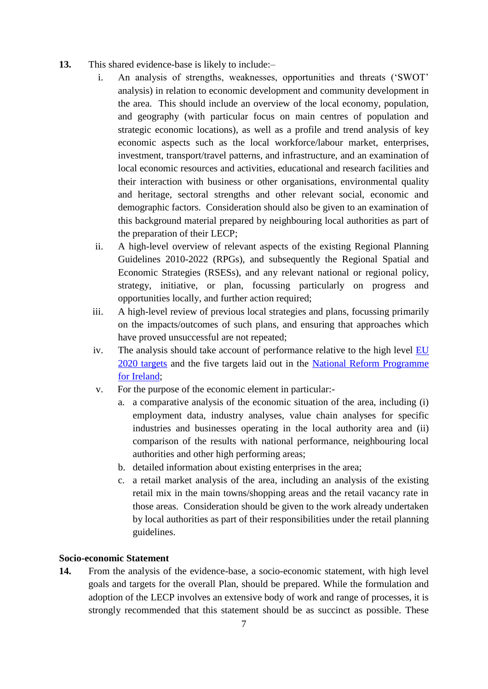- **13.** This shared evidence-base is likely to include:–
	- i. An analysis of strengths, weaknesses, opportunities and threats ('SWOT' analysis) in relation to economic development and community development in the area. This should include an overview of the local economy, population, and geography (with particular focus on main centres of population and strategic economic locations), as well as a profile and trend analysis of key economic aspects such as the local workforce/labour market, enterprises, investment, transport/travel patterns, and infrastructure, and an examination of local economic resources and activities, educational and research facilities and their interaction with business or other organisations, environmental quality and heritage, sectoral strengths and other relevant social, economic and demographic factors. Consideration should also be given to an examination of this background material prepared by neighbouring local authorities as part of the preparation of their LECP;
	- ii. A high-level overview of relevant aspects of the existing Regional Planning Guidelines 2010-2022 (RPGs), and subsequently the Regional Spatial and Economic Strategies (RSESs), and any relevant national or regional policy, strategy, initiative, or plan, focussing particularly on progress and opportunities locally, and further action required;
	- iii. A high-level review of previous local strategies and plans, focussing primarily on the impacts/outcomes of such plans, and ensuring that approaches which have proved unsuccessful are not repeated;
	- iv. The analysis should take account of performance relative to the high level [EU](http://ec.europa.eu/europe2020/targets/eu-targets/)  [2020 targets](http://ec.europa.eu/europe2020/targets/eu-targets/) and the five targets laid out in the [National Reform Programme](http://www.taoiseach.gov.ie/eng/Work_Of_The_Department/Economic_International_Northern_Ireland/Economic/NRP/National_Reform_Programme_2014.pdf)  [for Ireland;](http://www.taoiseach.gov.ie/eng/Work_Of_The_Department/Economic_International_Northern_Ireland/Economic/NRP/National_Reform_Programme_2014.pdf)
	- v. For the purpose of the economic element in particular:
		- a. a comparative analysis of the economic situation of the area, including (i) employment data, industry analyses, value chain analyses for specific industries and businesses operating in the local authority area and (ii) comparison of the results with national performance, neighbouring local authorities and other high performing areas;
		- b. detailed information about existing enterprises in the area;
		- c. a retail market analysis of the area, including an analysis of the existing retail mix in the main towns/shopping areas and the retail vacancy rate in those areas. Consideration should be given to the work already undertaken by local authorities as part of their responsibilities under the retail planning guidelines.

## **Socio-economic Statement**

**14.** From the analysis of the evidence-base, a socio-economic statement, with high level goals and targets for the overall Plan, should be prepared. While the formulation and adoption of the LECP involves an extensive body of work and range of processes, it is strongly recommended that this statement should be as succinct as possible. These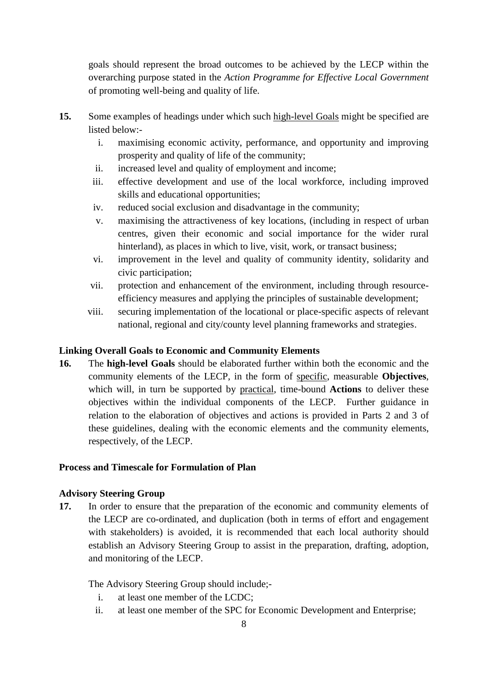goals should represent the broad outcomes to be achieved by the LECP within the overarching purpose stated in the *Action Programme for Effective Local Government* of promoting well-being and quality of life.

- **15.** Some examples of headings under which such high-level Goals might be specified are listed below:
	- i. maximising economic activity, performance, and opportunity and improving prosperity and quality of life of the community;
	- ii. increased level and quality of employment and income;
	- iii. effective development and use of the local workforce, including improved skills and educational opportunities;
	- iv. reduced social exclusion and disadvantage in the community;
	- v. maximising the attractiveness of key locations, (including in respect of urban centres, given their economic and social importance for the wider rural hinterland), as places in which to live, visit, work, or transact business;
	- vi. improvement in the level and quality of community identity, solidarity and civic participation;
	- vii. protection and enhancement of the environment, including through resourceefficiency measures and applying the principles of sustainable development;
	- viii. securing implementation of the locational or place-specific aspects of relevant national, regional and city/county level planning frameworks and strategies.

## **Linking Overall Goals to Economic and Community Elements**

**16.** The **high-level Goals** should be elaborated further within both the economic and the community elements of the LECP, in the form of specific, measurable **Objectives**, which will, in turn be supported by practical, time-bound **Actions** to deliver these objectives within the individual components of the LECP. Further guidance in relation to the elaboration of objectives and actions is provided in Parts 2 and 3 of these guidelines, dealing with the economic elements and the community elements, respectively, of the LECP.

## **Process and Timescale for Formulation of Plan**

## **Advisory Steering Group**

**17.** In order to ensure that the preparation of the economic and community elements of the LECP are co-ordinated, and duplication (both in terms of effort and engagement with stakeholders) is avoided, it is recommended that each local authority should establish an Advisory Steering Group to assist in the preparation, drafting, adoption, and monitoring of the LECP.

The Advisory Steering Group should include;-

- i. at least one member of the LCDC;
- ii. at least one member of the SPC for Economic Development and Enterprise;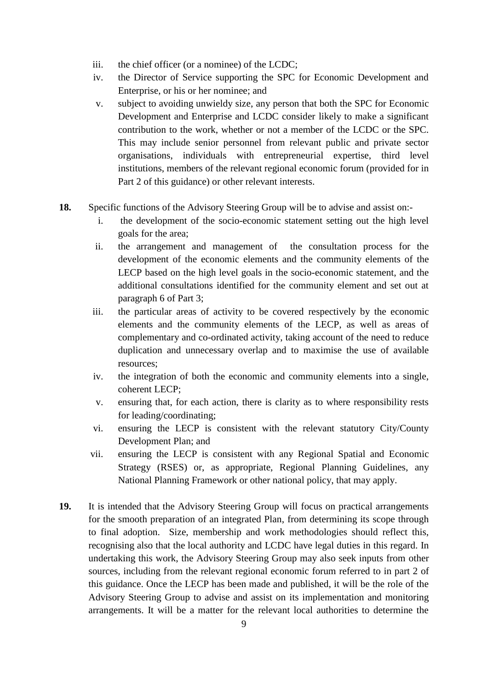- iii. the chief officer (or a nominee) of the LCDC;
- iv. the Director of Service supporting the SPC for Economic Development and Enterprise, or his or her nominee; and
- v. subject to avoiding unwieldy size, any person that both the SPC for Economic Development and Enterprise and LCDC consider likely to make a significant contribution to the work, whether or not a member of the LCDC or the SPC. This may include senior personnel from relevant public and private sector organisations, individuals with entrepreneurial expertise, third level institutions, members of the relevant regional economic forum (provided for in Part 2 of this guidance) or other relevant interests.
- **18.** Specific functions of the Advisory Steering Group will be to advise and assist on:
	- i. the development of the socio-economic statement setting out the high level goals for the area;
	- ii. the arrangement and management of the consultation process for the development of the economic elements and the community elements of the LECP based on the high level goals in the socio-economic statement, and the additional consultations identified for the community element and set out at paragraph 6 of Part 3;
	- iii. the particular areas of activity to be covered respectively by the economic elements and the community elements of the LECP, as well as areas of complementary and co-ordinated activity, taking account of the need to reduce duplication and unnecessary overlap and to maximise the use of available resources;
	- iv. the integration of both the economic and community elements into a single, coherent LECP;
	- v. ensuring that, for each action, there is clarity as to where responsibility rests for leading/coordinating;
	- vi. ensuring the LECP is consistent with the relevant statutory City/County Development Plan; and
	- vii. ensuring the LECP is consistent with any Regional Spatial and Economic Strategy (RSES) or, as appropriate, Regional Planning Guidelines, any National Planning Framework or other national policy, that may apply.
- **19.** It is intended that the Advisory Steering Group will focus on practical arrangements for the smooth preparation of an integrated Plan, from determining its scope through to final adoption. Size, membership and work methodologies should reflect this, recognising also that the local authority and LCDC have legal duties in this regard. In undertaking this work, the Advisory Steering Group may also seek inputs from other sources, including from the relevant regional economic forum referred to in part 2 of this guidance. Once the LECP has been made and published, it will be the role of the Advisory Steering Group to advise and assist on its implementation and monitoring arrangements. It will be a matter for the relevant local authorities to determine the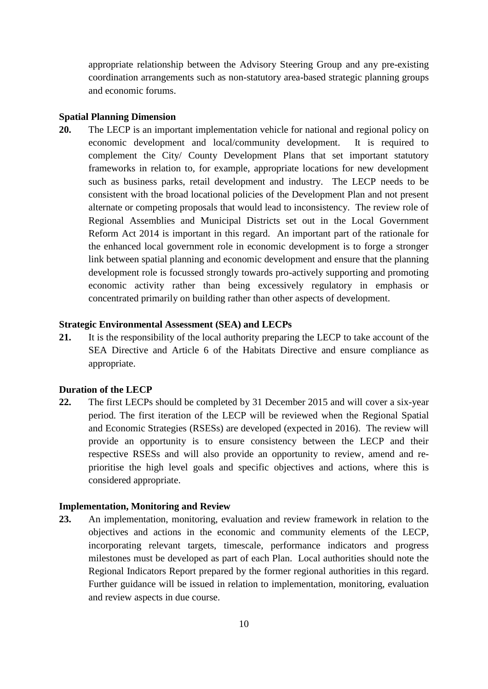appropriate relationship between the Advisory Steering Group and any pre-existing coordination arrangements such as non-statutory area-based strategic planning groups and economic forums.

#### **Spatial Planning Dimension**

**20.** The LECP is an important implementation vehicle for national and regional policy on economic development and local/community development. It is required to complement the City/ County Development Plans that set important statutory frameworks in relation to, for example, appropriate locations for new development such as business parks, retail development and industry. The LECP needs to be consistent with the broad locational policies of the Development Plan and not present alternate or competing proposals that would lead to inconsistency. The review role of Regional Assemblies and Municipal Districts set out in the Local Government Reform Act 2014 is important in this regard. An important part of the rationale for the enhanced local government role in economic development is to forge a stronger link between spatial planning and economic development and ensure that the planning development role is focussed strongly towards pro-actively supporting and promoting economic activity rather than being excessively regulatory in emphasis or concentrated primarily on building rather than other aspects of development.

#### **Strategic Environmental Assessment (SEA) and LECPs**

**21.** It is the responsibility of the local authority preparing the LECP to take account of the SEA Directive and Article 6 of the Habitats Directive and ensure compliance as appropriate.

## **Duration of the LECP**

**22.** The first LECPs should be completed by 31 December 2015 and will cover a six-year period. The first iteration of the LECP will be reviewed when the Regional Spatial and Economic Strategies (RSESs) are developed (expected in 2016). The review will provide an opportunity is to ensure consistency between the LECP and their respective RSESs and will also provide an opportunity to review, amend and reprioritise the high level goals and specific objectives and actions, where this is considered appropriate.

#### **Implementation, Monitoring and Review**

**23.** An implementation, monitoring, evaluation and review framework in relation to the objectives and actions in the economic and community elements of the LECP, incorporating relevant targets, timescale, performance indicators and progress milestones must be developed as part of each Plan. Local authorities should note the Regional Indicators Report prepared by the former regional authorities in this regard. Further guidance will be issued in relation to implementation, monitoring, evaluation and review aspects in due course.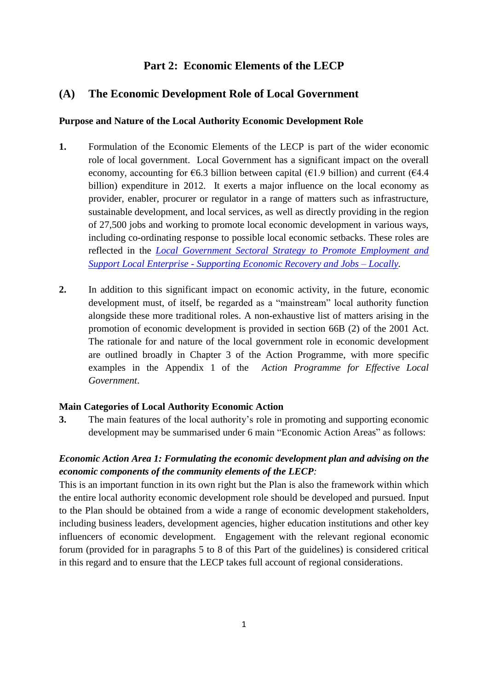# **Part 2: Economic Elements of the LECP**

# **(A) The Economic Development Role of Local Government**

## **Purpose and Nature of the Local Authority Economic Development Role**

- **1.** Formulation of the Economic Elements of the LECP is part of the wider economic role of local government. Local Government has a significant impact on the overall economy, accounting for  $\epsilon$ 6.3 billion between capital ( $\epsilon$ 1.9 billion) and current ( $\epsilon$ 4.4 billion) expenditure in 2012. It exerts a major influence on the local economy as provider, enabler, procurer or regulator in a range of matters such as infrastructure, sustainable development, and local services, as well as directly providing in the region of 27,500 jobs and working to promote local economic development in various ways, including co-ordinating response to possible local economic setbacks. These roles are reflected in the *[Local Government Sectoral Strategy to Promote Employment and](http://www.environ.ie/en/Publications/LocalGovernment/Administration/FileDownLoad,31194,en.pdf)  Support Local Enterprise - [Supporting Economic Recovery and Jobs –](http://www.environ.ie/en/Publications/LocalGovernment/Administration/FileDownLoad,31194,en.pdf) Locally.*
- **2.** In addition to this significant impact on economic activity, in the future, economic development must, of itself, be regarded as a "mainstream" local authority function alongside these more traditional roles. A non-exhaustive list of matters arising in the promotion of economic development is provided in section 66B (2) of the 2001 Act. The rationale for and nature of the local government role in economic development are outlined broadly in Chapter 3 of the Action Programme, with more specific examples in the Appendix 1 of the *Action Programme for Effective Local Government*.

## **Main Categories of Local Authority Economic Action**

**3.** The main features of the local authority's role in promoting and supporting economic development may be summarised under 6 main "Economic Action Areas" as follows:

# *Economic Action Area 1: Formulating the economic development plan and advising on the economic components of the community elements of the LECP:*

This is an important function in its own right but the Plan is also the framework within which the entire local authority economic development role should be developed and pursued. Input to the Plan should be obtained from a wide a range of economic development stakeholders, including business leaders, development agencies, higher education institutions and other key influencers of economic development. Engagement with the relevant regional economic forum (provided for in paragraphs 5 to 8 of this Part of the guidelines) is considered critical in this regard and to ensure that the LECP takes full account of regional considerations.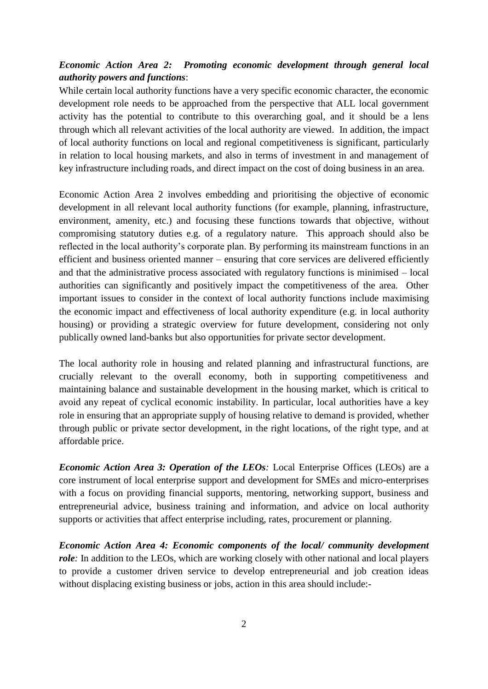# *Economic Action Area 2: Promoting economic development through general local authority powers and functions*:

While certain local authority functions have a very specific economic character, the economic development role needs to be approached from the perspective that ALL local government activity has the potential to contribute to this overarching goal, and it should be a lens through which all relevant activities of the local authority are viewed. In addition, the impact of local authority functions on local and regional competitiveness is significant, particularly in relation to local housing markets, and also in terms of investment in and management of key infrastructure including roads, and direct impact on the cost of doing business in an area.

Economic Action Area 2 involves embedding and prioritising the objective of economic development in all relevant local authority functions (for example, planning, infrastructure, environment, amenity, etc.) and focusing these functions towards that objective, without compromising statutory duties e.g. of a regulatory nature. This approach should also be reflected in the local authority's corporate plan. By performing its mainstream functions in an efficient and business oriented manner – ensuring that core services are delivered efficiently and that the administrative process associated with regulatory functions is minimised – local authorities can significantly and positively impact the competitiveness of the area. Other important issues to consider in the context of local authority functions include maximising the economic impact and effectiveness of local authority expenditure (e.g. in local authority housing) or providing a strategic overview for future development, considering not only publically owned land-banks but also opportunities for private sector development.

The local authority role in housing and related planning and infrastructural functions, are crucially relevant to the overall economy, both in supporting competitiveness and maintaining balance and sustainable development in the housing market, which is critical to avoid any repeat of cyclical economic instability. In particular, local authorities have a key role in ensuring that an appropriate supply of housing relative to demand is provided, whether through public or private sector development, in the right locations, of the right type, and at affordable price.

*Economic Action Area 3: Operation of the LEOs*: Local Enterprise Offices (LEOs) are a core instrument of local enterprise support and development for SMEs and micro-enterprises with a focus on providing financial supports, mentoring, networking support, business and entrepreneurial advice, business training and information, and advice on local authority supports or activities that affect enterprise including, rates, procurement or planning.

*Economic Action Area 4: Economic components of the local/ community development role*: In addition to the LEOs, which are working closely with other national and local players to provide a customer driven service to develop entrepreneurial and job creation ideas without displacing existing business or jobs, action in this area should include:-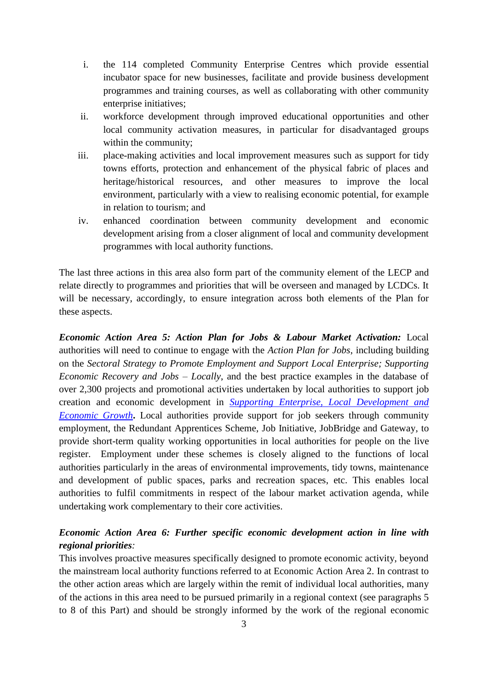- i. the 114 completed Community Enterprise Centres which provide essential incubator space for new businesses, facilitate and provide business development programmes and training courses, as well as collaborating with other community enterprise initiatives;
- ii. workforce development through improved educational opportunities and other local community activation measures, in particular for disadvantaged groups within the community;
- iii. place-making activities and local improvement measures such as support for tidy towns efforts, protection and enhancement of the physical fabric of places and heritage/historical resources, and other measures to improve the local environment, particularly with a view to realising economic potential, for example in relation to tourism; and
- iv. enhanced coordination between community development and economic development arising from a closer alignment of local and community development programmes with local authority functions.

The last three actions in this area also form part of the community element of the LECP and relate directly to programmes and priorities that will be overseen and managed by LCDCs. It will be necessary, accordingly, to ensure integration across both elements of the Plan for these aspects.

*Economic Action Area 5: Action Plan for Jobs & Labour Market Activation:* Local authorities will need to continue to engage with the *Action Plan for Jobs*, including building on the *Sectoral Strategy to Promote Employment and Support Local Enterprise; Supporting Economic Recovery and Jobs – Locally*, and the best practice examples in the database of over 2,300 projects and promotional activities undertaken by local authorities to support job creation and economic development in *[Supporting Enterprise, Local Development and](http://www.lgma.ie/sites/default/files/newsfiles/supporting_enterprise_local_development_and_economic_growth_2012.pdf)  [Economic Growth](http://www.lgma.ie/sites/default/files/newsfiles/supporting_enterprise_local_development_and_economic_growth_2012.pdf)*. Local authorities provide support for job seekers through community employment, the Redundant Apprentices Scheme, Job Initiative, JobBridge and Gateway, to provide short-term quality working opportunities in local authorities for people on the live register. Employment under these schemes is closely aligned to the functions of local authorities particularly in the areas of environmental improvements, tidy towns, maintenance and development of public spaces, parks and recreation spaces, etc. This enables local authorities to fulfil commitments in respect of the labour market activation agenda, while undertaking work complementary to their core activities.

# *Economic Action Area 6: Further specific economic development action in line with regional priorities:*

This involves proactive measures specifically designed to promote economic activity, beyond the mainstream local authority functions referred to at Economic Action Area 2. In contrast to the other action areas which are largely within the remit of individual local authorities, many of the actions in this area need to be pursued primarily in a regional context (see paragraphs 5 to 8 of this Part) and should be strongly informed by the work of the regional economic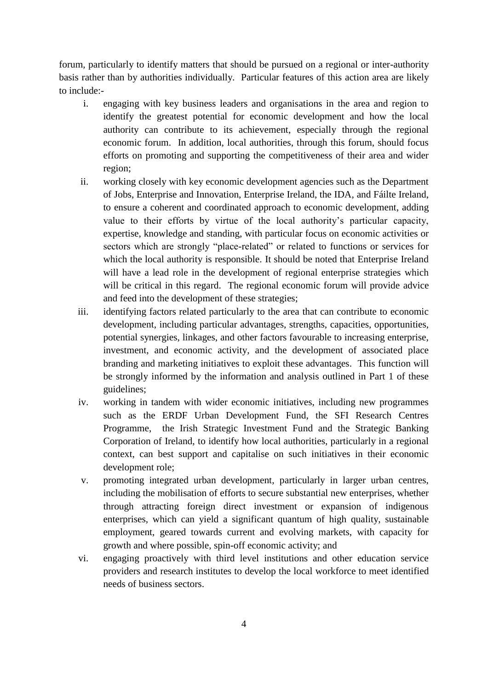forum, particularly to identify matters that should be pursued on a regional or inter-authority basis rather than by authorities individually. Particular features of this action area are likely to include:-

- i. engaging with key business leaders and organisations in the area and region to identify the greatest potential for economic development and how the local authority can contribute to its achievement, especially through the regional economic forum. In addition, local authorities, through this forum, should focus efforts on promoting and supporting the competitiveness of their area and wider region;
- ii. working closely with key economic development agencies such as the Department of Jobs, Enterprise and Innovation, Enterprise Ireland, the IDA, and Fáilte Ireland, to ensure a coherent and coordinated approach to economic development, adding value to their efforts by virtue of the local authority's particular capacity, expertise, knowledge and standing, with particular focus on economic activities or sectors which are strongly "place-related" or related to functions or services for which the local authority is responsible. It should be noted that Enterprise Ireland will have a lead role in the development of regional enterprise strategies which will be critical in this regard. The regional economic forum will provide advice and feed into the development of these strategies;
- iii. identifying factors related particularly to the area that can contribute to economic development, including particular advantages, strengths, capacities, opportunities, potential synergies, linkages, and other factors favourable to increasing enterprise, investment, and economic activity, and the development of associated place branding and marketing initiatives to exploit these advantages. This function will be strongly informed by the information and analysis outlined in Part 1 of these guidelines;
- iv. working in tandem with wider economic initiatives, including new programmes such as the ERDF Urban Development Fund, the SFI Research Centres Programme, the Irish Strategic Investment Fund and the Strategic Banking Corporation of Ireland, to identify how local authorities, particularly in a regional context, can best support and capitalise on such initiatives in their economic development role;
- v. promoting integrated urban development, particularly in larger urban centres, including the mobilisation of efforts to secure substantial new enterprises, whether through attracting foreign direct investment or expansion of indigenous enterprises, which can yield a significant quantum of high quality, sustainable employment, geared towards current and evolving markets, with capacity for growth and where possible, spin-off economic activity; and
- vi. engaging proactively with third level institutions and other education service providers and research institutes to develop the local workforce to meet identified needs of business sectors.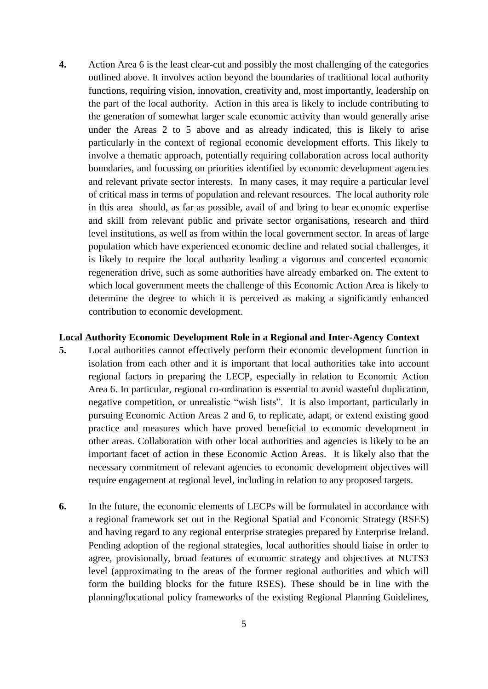**4.** Action Area 6 is the least clear-cut and possibly the most challenging of the categories outlined above. It involves action beyond the boundaries of traditional local authority functions, requiring vision, innovation, creativity and, most importantly, leadership on the part of the local authority. Action in this area is likely to include contributing to the generation of somewhat larger scale economic activity than would generally arise under the Areas 2 to 5 above and as already indicated, this is likely to arise particularly in the context of regional economic development efforts. This likely to involve a thematic approach, potentially requiring collaboration across local authority boundaries, and focussing on priorities identified by economic development agencies and relevant private sector interests. In many cases, it may require a particular level of critical mass in terms of population and relevant resources. The local authority role in this area should, as far as possible, avail of and bring to bear economic expertise and skill from relevant public and private sector organisations, research and third level institutions, as well as from within the local government sector. In areas of large population which have experienced economic decline and related social challenges, it is likely to require the local authority leading a vigorous and concerted economic regeneration drive, such as some authorities have already embarked on. The extent to which local government meets the challenge of this Economic Action Area is likely to determine the degree to which it is perceived as making a significantly enhanced contribution to economic development.

#### **Local Authority Economic Development Role in a Regional and Inter-Agency Context**

- **5.** Local authorities cannot effectively perform their economic development function in isolation from each other and it is important that local authorities take into account regional factors in preparing the LECP, especially in relation to Economic Action Area 6. In particular, regional co-ordination is essential to avoid wasteful duplication, negative competition, or unrealistic "wish lists". It is also important, particularly in pursuing Economic Action Areas 2 and 6, to replicate, adapt, or extend existing good practice and measures which have proved beneficial to economic development in other areas. Collaboration with other local authorities and agencies is likely to be an important facet of action in these Economic Action Areas. It is likely also that the necessary commitment of relevant agencies to economic development objectives will require engagement at regional level, including in relation to any proposed targets.
- **6.** In the future, the economic elements of LECPs will be formulated in accordance with a regional framework set out in the Regional Spatial and Economic Strategy (RSES) and having regard to any regional enterprise strategies prepared by Enterprise Ireland. Pending adoption of the regional strategies, local authorities should liaise in order to agree, provisionally, broad features of economic strategy and objectives at NUTS3 level (approximating to the areas of the former regional authorities and which will form the building blocks for the future RSES). These should be in line with the planning/locational policy frameworks of the existing Regional Planning Guidelines,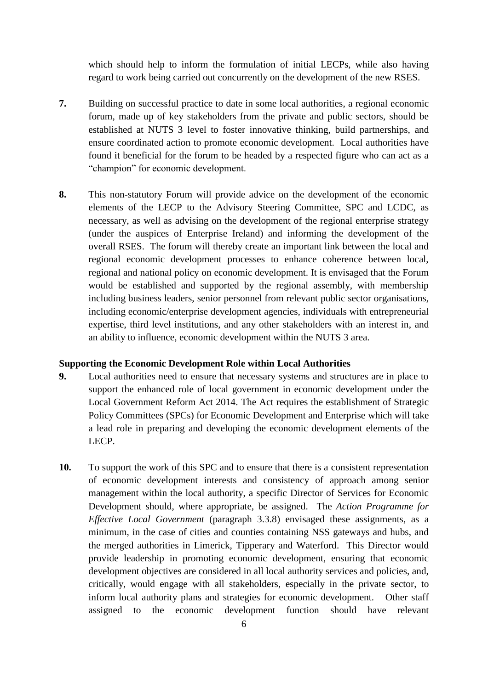which should help to inform the formulation of initial LECPs, while also having regard to work being carried out concurrently on the development of the new RSES.

- **7.** Building on successful practice to date in some local authorities, a regional economic forum, made up of key stakeholders from the private and public sectors, should be established at NUTS 3 level to foster innovative thinking, build partnerships, and ensure coordinated action to promote economic development. Local authorities have found it beneficial for the forum to be headed by a respected figure who can act as a "champion" for economic development.
- **8.** This non-statutory Forum will provide advice on the development of the economic elements of the LECP to the Advisory Steering Committee, SPC and LCDC, as necessary, as well as advising on the development of the regional enterprise strategy (under the auspices of Enterprise Ireland) and informing the development of the overall RSES. The forum will thereby create an important link between the local and regional economic development processes to enhance coherence between local, regional and national policy on economic development. It is envisaged that the Forum would be established and supported by the regional assembly, with membership including business leaders, senior personnel from relevant public sector organisations, including economic/enterprise development agencies, individuals with entrepreneurial expertise, third level institutions, and any other stakeholders with an interest in, and an ability to influence, economic development within the NUTS 3 area.

## **Supporting the Economic Development Role within Local Authorities**

- **9.** Local authorities need to ensure that necessary systems and structures are in place to support the enhanced role of local government in economic development under the Local Government Reform Act 2014. The Act requires the establishment of Strategic Policy Committees (SPCs) for Economic Development and Enterprise which will take a lead role in preparing and developing the economic development elements of the LECP.
- **10.** To support the work of this SPC and to ensure that there is a consistent representation of economic development interests and consistency of approach among senior management within the local authority, a specific Director of Services for Economic Development should, where appropriate, be assigned. The *Action Programme for Effective Local Government* (paragraph 3.3.8) envisaged these assignments, as a minimum, in the case of cities and counties containing NSS gateways and hubs, and the merged authorities in Limerick, Tipperary and Waterford. This Director would provide leadership in promoting economic development, ensuring that economic development objectives are considered in all local authority services and policies, and, critically, would engage with all stakeholders, especially in the private sector, to inform local authority plans and strategies for economic development. Other staff assigned to the economic development function should have relevant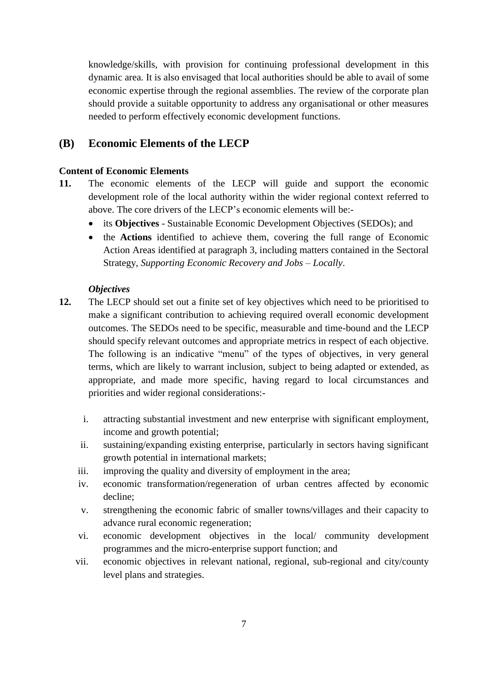knowledge/skills, with provision for continuing professional development in this dynamic area. It is also envisaged that local authorities should be able to avail of some economic expertise through the regional assemblies. The review of the corporate plan should provide a suitable opportunity to address any organisational or other measures needed to perform effectively economic development functions.

# **(B) Economic Elements of the LECP**

## **Content of Economic Elements**

- **11.** The economic elements of the LECP will guide and support the economic development role of the local authority within the wider regional context referred to above. The core drivers of the LECP's economic elements will be:
	- its **Objectives** Sustainable Economic Development Objectives (SEDOs); and
	- the **Actions** identified to achieve them, covering the full range of Economic Action Areas identified at paragraph 3, including matters contained in the Sectoral Strategy, *Supporting Economic Recovery and Jobs – Locally*.

## *Objectives*

- **12.** The LECP should set out a finite set of key objectives which need to be prioritised to make a significant contribution to achieving required overall economic development outcomes. The SEDOs need to be specific, measurable and time-bound and the LECP should specify relevant outcomes and appropriate metrics in respect of each objective. The following is an indicative "menu" of the types of objectives, in very general terms, which are likely to warrant inclusion, subject to being adapted or extended, as appropriate, and made more specific, having regard to local circumstances and priorities and wider regional considerations:
	- i. attracting substantial investment and new enterprise with significant employment, income and growth potential;
	- ii. sustaining/expanding existing enterprise, particularly in sectors having significant growth potential in international markets;
	- iii. improving the quality and diversity of employment in the area;
	- iv. economic transformation/regeneration of urban centres affected by economic decline;
	- v. strengthening the economic fabric of smaller towns/villages and their capacity to advance rural economic regeneration;
	- vi. economic development objectives in the local/ community development programmes and the micro-enterprise support function; and
	- vii. economic objectives in relevant national, regional, sub-regional and city/county level plans and strategies.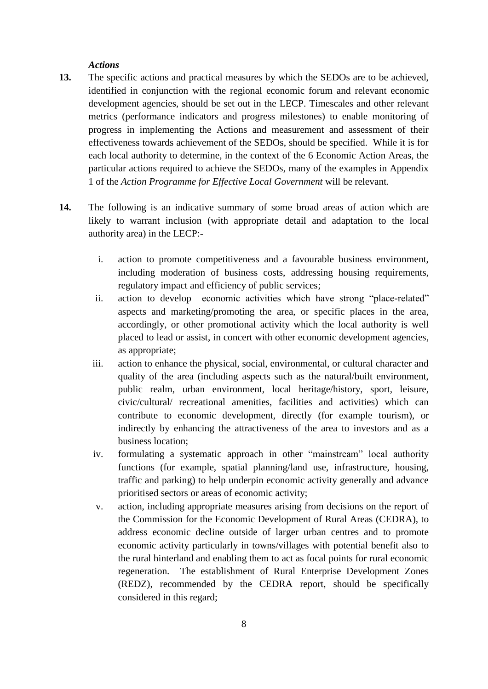#### *Actions*

- **13.** The specific actions and practical measures by which the SEDOs are to be achieved, identified in conjunction with the regional economic forum and relevant economic development agencies, should be set out in the LECP. Timescales and other relevant metrics (performance indicators and progress milestones) to enable monitoring of progress in implementing the Actions and measurement and assessment of their effectiveness towards achievement of the SEDOs, should be specified. While it is for each local authority to determine, in the context of the 6 Economic Action Areas, the particular actions required to achieve the SEDOs, many of the examples in Appendix 1 of the *Action Programme for Effective Local Government* will be relevant.
- **14.** The following is an indicative summary of some broad areas of action which are likely to warrant inclusion (with appropriate detail and adaptation to the local authority area) in the LECP:
	- i. action to promote competitiveness and a favourable business environment, including moderation of business costs, addressing housing requirements, regulatory impact and efficiency of public services;
	- ii. action to develop economic activities which have strong "place-related" aspects and marketing/promoting the area, or specific places in the area, accordingly, or other promotional activity which the local authority is well placed to lead or assist, in concert with other economic development agencies, as appropriate;
	- iii. action to enhance the physical, social, environmental, or cultural character and quality of the area (including aspects such as the natural/built environment, public realm, urban environment, local heritage/history, sport, leisure, civic/cultural/ recreational amenities, facilities and activities) which can contribute to economic development, directly (for example tourism), or indirectly by enhancing the attractiveness of the area to investors and as a business location;
	- iv. formulating a systematic approach in other "mainstream" local authority functions (for example, spatial planning/land use, infrastructure, housing, traffic and parking) to help underpin economic activity generally and advance prioritised sectors or areas of economic activity;
	- v. action, including appropriate measures arising from decisions on the report of the Commission for the Economic Development of Rural Areas (CEDRA), to address economic decline outside of larger urban centres and to promote economic activity particularly in towns/villages with potential benefit also to the rural hinterland and enabling them to act as focal points for rural economic regeneration. The establishment of Rural Enterprise Development Zones (REDZ), recommended by the CEDRA report, should be specifically considered in this regard;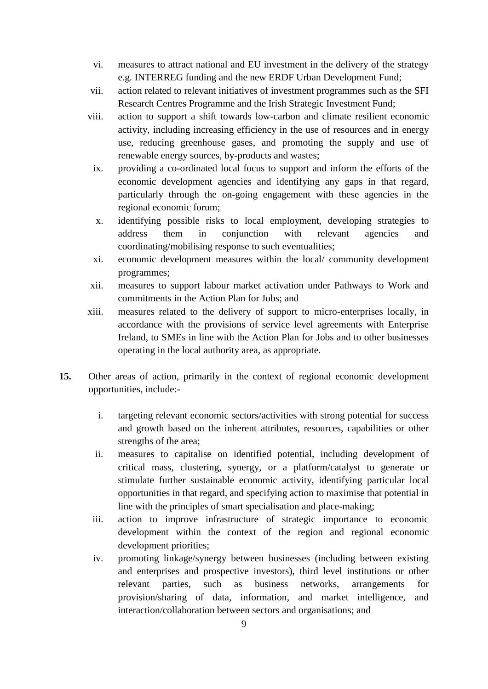- vi. measures to attract national and EU investment in the delivery of the strategy e.g. INTERREG funding and the new ERDF Urban Development Fund;
- vii. action related to relevant initiatives of investment programmes such as the SFI Research Centres Programme and the Irish Strategic Investment Fund;
- viii. action to support a shift towards low-carbon and climate resilient economic activity, including increasing efficiency in the use of resources and in energy use, reducing greenhouse gases, and promoting the supply and use of renewable energy sources, by-products and wastes;
- ix. providing a co-ordinated local focus to support and inform the efforts of the economic development agencies and identifying any gaps in that regard, particularly through the on-going engagement with these agencies in the regional economic forum;
- x. identifying possible risks to local employment, developing strategies to address them in conjunction with relevant agencies and coordinating/mobilising response to such eventualities;
- xi. economic development measures within the local/ community development programmes;
- xii. measures to support labour market activation under Pathways to Work and commitments in the Action Plan for Jobs; and
- xiii. measures related to the delivery of support to micro-enterprises locally, in accordance with the provisions of service level agreements with Enterprise Ireland, to SMEs in line with the Action Plan for Jobs and to other businesses operating in the local authority area, as appropriate.
- **15.** Other areas of action, primarily in the context of regional economic development opportunities, include:
	- i. targeting relevant economic sectors/activities with strong potential for success and growth based on the inherent attributes, resources, capabilities or other strengths of the area;
	- ii. measures to capitalise on identified potential, including development of critical mass, clustering, synergy, or a platform/catalyst to generate or stimulate further sustainable economic activity, identifying particular local opportunities in that regard, and specifying action to maximise that potential in line with the principles of smart specialisation and place-making;
	- iii. action to improve infrastructure of strategic importance to economic development within the context of the region and regional economic development priorities;
	- iv. promoting linkage/synergy between businesses (including between existing and enterprises and prospective investors), third level institutions or other relevant parties, such as business networks, arrangements for provision/sharing of data, information, and market intelligence, and interaction/collaboration between sectors and organisations; and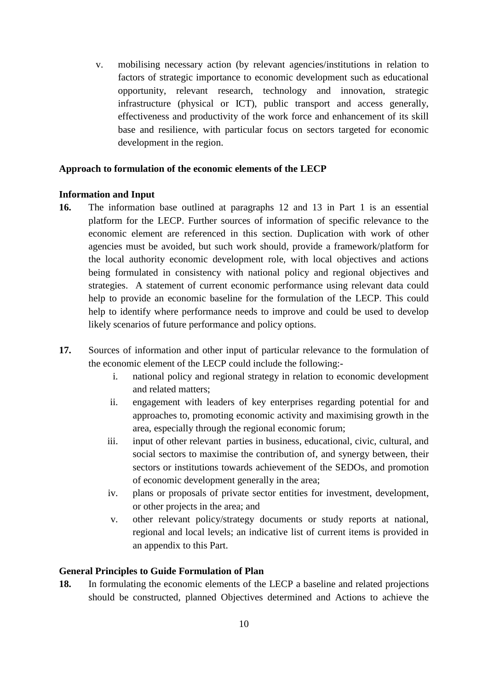v. mobilising necessary action (by relevant agencies/institutions in relation to factors of strategic importance to economic development such as educational opportunity, relevant research, technology and innovation, strategic infrastructure (physical or ICT), public transport and access generally, effectiveness and productivity of the work force and enhancement of its skill base and resilience, with particular focus on sectors targeted for economic development in the region.

## **Approach to formulation of the economic elements of the LECP**

#### **Information and Input**

- **16.** The information base outlined at paragraphs 12 and 13 in Part 1 is an essential platform for the LECP. Further sources of information of specific relevance to the economic element are referenced in this section. Duplication with work of other agencies must be avoided, but such work should, provide a framework/platform for the local authority economic development role, with local objectives and actions being formulated in consistency with national policy and regional objectives and strategies. A statement of current economic performance using relevant data could help to provide an economic baseline for the formulation of the LECP. This could help to identify where performance needs to improve and could be used to develop likely scenarios of future performance and policy options.
- **17.** Sources of information and other input of particular relevance to the formulation of the economic element of the LECP could include the following:
	- i. national policy and regional strategy in relation to economic development and related matters;
	- ii. engagement with leaders of key enterprises regarding potential for and approaches to, promoting economic activity and maximising growth in the area, especially through the regional economic forum;
	- iii. input of other relevant parties in business, educational, civic, cultural, and social sectors to maximise the contribution of, and synergy between, their sectors or institutions towards achievement of the SEDOs, and promotion of economic development generally in the area;
	- iv. plans or proposals of private sector entities for investment, development, or other projects in the area; and
	- v. other relevant policy/strategy documents or study reports at national, regional and local levels; an indicative list of current items is provided in an appendix to this Part.

## **General Principles to Guide Formulation of Plan**

**18.** In formulating the economic elements of the LECP a baseline and related projections should be constructed, planned Objectives determined and Actions to achieve the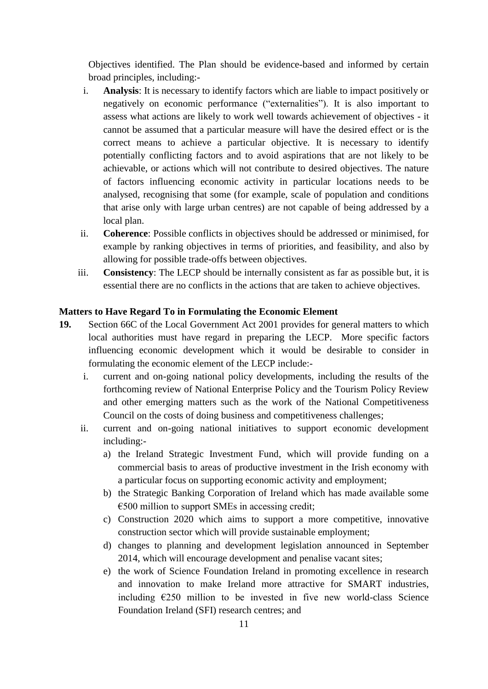Objectives identified. The Plan should be evidence-based and informed by certain broad principles, including:-

- i. **Analysis**: It is necessary to identify factors which are liable to impact positively or negatively on economic performance ("externalities"). It is also important to assess what actions are likely to work well towards achievement of objectives - it cannot be assumed that a particular measure will have the desired effect or is the correct means to achieve a particular objective. It is necessary to identify potentially conflicting factors and to avoid aspirations that are not likely to be achievable, or actions which will not contribute to desired objectives. The nature of factors influencing economic activity in particular locations needs to be analysed, recognising that some (for example, scale of population and conditions that arise only with large urban centres) are not capable of being addressed by a local plan.
- ii. **Coherence**: Possible conflicts in objectives should be addressed or minimised, for example by ranking objectives in terms of priorities, and feasibility, and also by allowing for possible trade-offs between objectives.
- iii. **Consistency**: The LECP should be internally consistent as far as possible but, it is essential there are no conflicts in the actions that are taken to achieve objectives.

## **Matters to Have Regard To in Formulating the Economic Element**

- **19.** Section 66C of the Local Government Act 2001 provides for general matters to which local authorities must have regard in preparing the LECP. More specific factors influencing economic development which it would be desirable to consider in formulating the economic element of the LECP include:
	- i. current and on-going national policy developments, including the results of the forthcoming review of National Enterprise Policy and the Tourism Policy Review and other emerging matters such as the work of the National Competitiveness Council on the costs of doing business and competitiveness challenges;
	- ii. current and on-going national initiatives to support economic development including:
		- a) the Ireland Strategic Investment Fund, which will provide funding on a commercial basis to areas of productive investment in the Irish economy with a particular focus on supporting economic activity and employment;
		- b) the Strategic Banking Corporation of Ireland which has made available some  $\epsilon$ 500 million to support SMEs in accessing credit:
		- c) Construction 2020 which aims to support a more competitive, innovative construction sector which will provide sustainable employment;
		- d) changes to planning and development legislation announced in September 2014, which will encourage development and penalise vacant sites;
		- e) the work of Science Foundation Ireland in promoting excellence in research and innovation to make Ireland more attractive for SMART industries, including  $E250$  million to be invested in five new world-class Science [Foundation Ireland](http://www.sfi.ie/) (SFI) research centres; and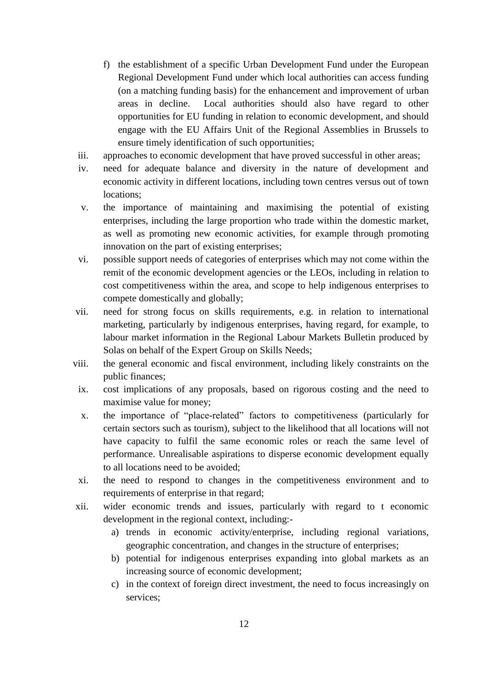- f) the establishment of a specific Urban Development Fund under the European Regional Development Fund under which local authorities can access funding (on a matching funding basis) for the enhancement and improvement of urban areas in decline. Local authorities should also have regard to other opportunities for EU funding in relation to economic development, and should engage with the EU Affairs Unit of the Regional Assemblies in Brussels to ensure timely identification of such opportunities;
- iii. approaches to economic development that have proved successful in other areas;
- iv. need for adequate balance and diversity in the nature of development and economic activity in different locations, including town centres versus out of town locations;
- v. the importance of maintaining and maximising the potential of existing enterprises, including the large proportion who trade within the domestic market, as well as promoting new economic activities, for example through promoting innovation on the part of existing enterprises;
- vi. possible support needs of categories of enterprises which may not come within the remit of the economic development agencies or the LEOs, including in relation to cost competitiveness within the area, and scope to help indigenous enterprises to compete domestically and globally;
- vii. need for strong focus on skills requirements, e.g. in relation to international marketing, particularly by indigenous enterprises, having regard, for example, to labour market information in the Regional Labour Markets Bulletin produced by Solas on behalf of the Expert Group on Skills Needs;
- viii. the general economic and fiscal environment, including likely constraints on the public finances;
- ix. cost implications of any proposals, based on rigorous costing and the need to maximise value for money;
- x. the importance of "place-related" factors to competitiveness (particularly for certain sectors such as tourism), subject to the likelihood that all locations will not have capacity to fulfil the same economic roles or reach the same level of performance. Unrealisable aspirations to disperse economic development equally to all locations need to be avoided;
- xi. the need to respond to changes in the competitiveness environment and to requirements of enterprise in that regard;
- xii. wider economic trends and issues, particularly with regard to t economic development in the regional context, including:
	- a) trends in economic activity/enterprise, including regional variations, geographic concentration, and changes in the structure of enterprises;
	- b) potential for indigenous enterprises expanding into global markets as an increasing source of economic development;
	- c) in the context of foreign direct investment, the need to focus increasingly on services;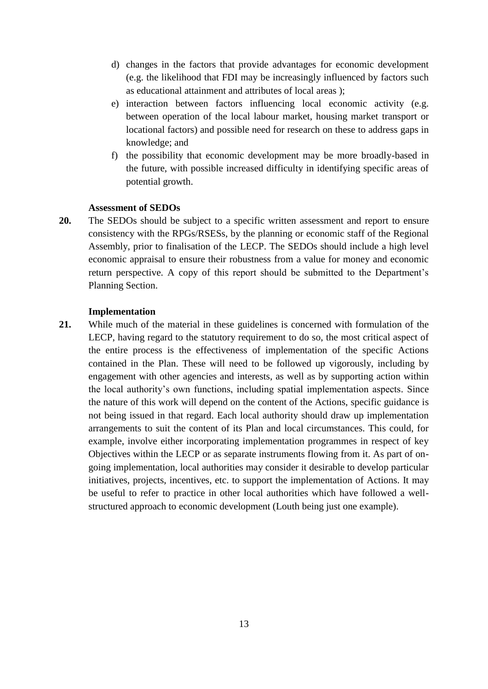- d) changes in the factors that provide advantages for economic development (e.g. the likelihood that FDI may be increasingly influenced by factors such as educational attainment and attributes of local areas );
- e) interaction between factors influencing local economic activity (e.g. between operation of the local labour market, housing market transport or locational factors) and possible need for research on these to address gaps in knowledge; and
- f) the possibility that economic development may be more broadly-based in the future, with possible increased difficulty in identifying specific areas of potential growth.

#### **Assessment of SEDOs**

**20.** The SEDOs should be subject to a specific written assessment and report to ensure consistency with the RPGs/RSESs, by the planning or economic staff of the Regional Assembly, prior to finalisation of the LECP. The SEDOs should include a high level economic appraisal to ensure their robustness from a value for money and economic return perspective. A copy of this report should be submitted to the Department's Planning Section.

#### **Implementation**

**21.** While much of the material in these guidelines is concerned with formulation of the LECP, having regard to the statutory requirement to do so, the most critical aspect of the entire process is the effectiveness of implementation of the specific Actions contained in the Plan. These will need to be followed up vigorously, including by engagement with other agencies and interests, as well as by supporting action within the local authority's own functions, including spatial implementation aspects. Since the nature of this work will depend on the content of the Actions, specific guidance is not being issued in that regard. Each local authority should draw up implementation arrangements to suit the content of its Plan and local circumstances. This could, for example, involve either incorporating implementation programmes in respect of key Objectives within the LECP or as separate instruments flowing from it. As part of ongoing implementation, local authorities may consider it desirable to develop particular initiatives, projects, incentives, etc. to support the implementation of Actions. It may be useful to refer to practice in other local authorities which have followed a wellstructured approach to economic development (Louth being just one example).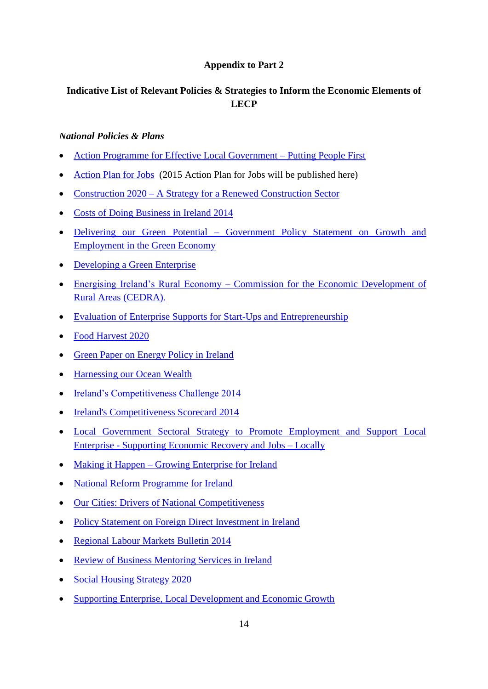# **Appendix to Part 2**

# **Indicative List of Relevant Policies & Strategies to Inform the Economic Elements of LECP**

## *National Policies & Plans*

- [Action Programme for Effective Local Government –](http://www.environ.ie/en/PublicationsDocuments/FileDownLoad,31309,en.pdf) Putting People First
- [Action Plan for Jobs](http://www.djei.ie/enterprise/apj.htm) (2015 Action Plan for Jobs will be published here)
- Construction 2020 [A Strategy for a Renewed Construction Sector](http://www.merrionstreet.ie/wp-content/uploads/2014/05/Construction-Strategy-14-May-20141.pdf)
- [Costs of Doing Business in Ireland 2014](http://www.forfas.ie/media/01042014-Costs_of_Doing_Business_in_Ireland_2014-Publication.pdf)
- Delivering our Green Potential Government Policy Statement on Growth and [Employment in the Green Economy](https://www.agriculture.gov.ie/media/migration/ruralenvironment/environment/bioenergyscheme/DeliveringOurGreenPotential171212.pdf)
- [Developing a Green Enterprise](http://www.epa.ie/pubs/reports/other/corporate/Developing%20a%20Green%20Enterprise%20Navigator.pdf)
- Energising Ireland's Rural Economy [Commission for the Economic Development of](http://www.environ.ie/en/Community/RuralDevelopment/PublicationsDocuments/FileDownLoad,37632,en.pdf)  [Rural Areas \(CEDRA\).](http://www.environ.ie/en/Community/RuralDevelopment/PublicationsDocuments/FileDownLoad,37632,en.pdf)
- [Evaluation of Enterprise Supports for Start-Ups and Entrepreneurship](http://www.forfas.ie/media/17042014-Enterprise_Evaluation_of_Start-Ups_and_Entrepreneurship-Publication.pdf)
- [Food Harvest 2020](http://www.agriculture.gov.ie/media/migration/agri-foodindustry/foodharvest2020/2020FoodHarvestEng240810.pdf)
- [Green Paper on Energy Policy in Ireland](http://www.dcenr.gov.ie/NR/rdonlyres/DD9FFC79-E1A0-41AB-BB6D-27FAEEB4D643/0/DCENRGreenPaperonEnergyPolicyinIreland.pdf)
- [Harnessing our Ocean Wealth](http://www.ouroceanwealth.ie/SiteCollectionDocuments/Harnessing%20Our%20Ocean%20Wealth%20Report.pdf)
- [Ireland's Competitiveness Challenge 2014](http://www.competitiveness.ie/media/03122014-Competitiveness_Challenge_2014-publication.pdf)
- [Ireland's Competitiveness Scorecard 2014](http://www.forfas.ie/media/ICS%202014%20ONLINE%20FINAL.pdf)
- [Local Government Sectoral Strategy to Promote Employment and Support Local](http://www.environ.ie/en/Publications/LocalGovernment/Administration/FileDownLoad,31194,en.pdf)  Enterprise - [Supporting Economic Recovery and Jobs –](http://www.environ.ie/en/Publications/LocalGovernment/Administration/FileDownLoad,31194,en.pdf) Locally
- Making it Happen [Growing Enterprise for Ireland](http://www.forfas.ie/media/Forfas100924-Making_It_Happen-Growing_Enterprise_for_Ireland.pdf)
- [National Reform Programme for Ireland](http://www.taoiseach.gov.ie/eng/Work_Of_The_Department/Economic_International_Northern_Ireland/Economic/NRP/National_Reform_Programme_2014.pdf)
- [Our Cities: Drivers of National Competitiveness](http://www.forfas.ie/media/ncc090421_our_cities.pdf)
- [Policy Statement on Foreign Direct Investment in Ireland](http://www.forfas.ie/media/30072014-Policy_Statement_on_Foreign_Direct_Investment_in_Ireland-Publication.pdf)
- [Regional Labour Markets Bulletin 2014](http://solas.ie/docs/RegionalLabourMarketsBulletin2014.pdf)
- [Review of Business Mentoring Services in Ireland](http://www.forfas.ie/media/15072014-Review_of_Business_Mentoring_Services_in_Ireland-Publication.pdf)
- [Social Housing Strategy 2020](http://www.environ.ie/en/Publications/DevelopmentandHousing/Housing/FileDownLoad,39622,en.pdf)
- [Supporting Enterprise, Local Development and Economic Growth](http://www.lgma.ie/sites/default/files/newsfiles/supporting_enterprise_local_development_and_economic_growth_2012.pdf)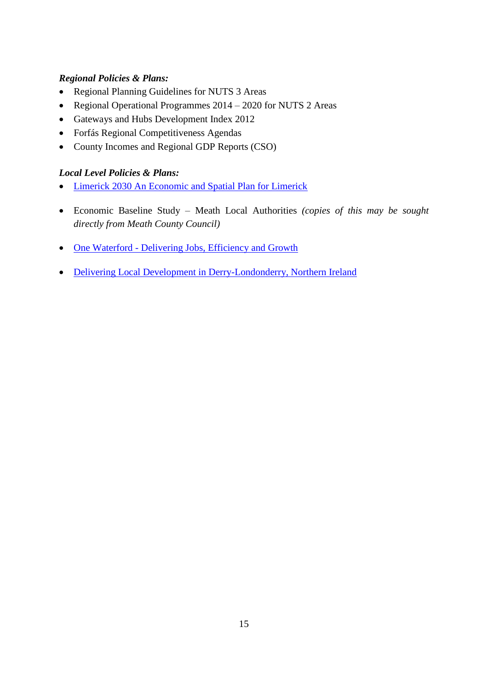# *Regional Policies & Plans:*

- Regional Planning Guidelines for NUTS 3 Areas
- Regional Operational Programmes 2014 2020 for NUTS 2 Areas
- Gateways and Hubs Development Index 2012
- Forfás Regional Competitiveness Agendas
- County Incomes and Regional GDP Reports (CSO)

## *Local Level Policies & Plans:*

- Limerick [2030 An Economic](http://www.limerickcity.ie/Planning/EconomicDevelopment/Limerick2030AnEconomicandSpatialPlanforLimerick/An%20Economic%20and%20Spatial%20Plan%20for%20Limerick.pdf) and Spatial Plan for Limerick
- Economic Baseline Study Meath Local Authorities *(copies of this may be sought directly from Meath County Council)*
- One Waterford [Delivering Jobs, Efficiency and Growth](http://www.environ.ie/en/Publications/LocalGovernment/Administration/FileDownLoad,34064,en.pdf)
- [Delivering Local Development in Derry-Londonderry, Northern Ireland](http://www.oecd.org/cfe/leed/Derry_CRC_final1_A4.pdf)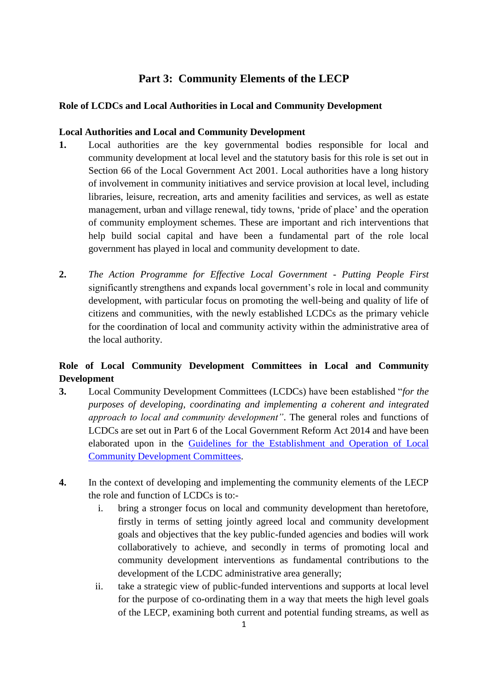# **Part 3: Community Elements of the LECP**

# **Role of LCDCs and Local Authorities in Local and Community Development**

# **Local Authorities and Local and Community Development**

- **1.** Local authorities are the key governmental bodies responsible for local and community development at local level and the statutory basis for this role is set out in Section 66 of the Local Government Act 2001. Local authorities have a long history of involvement in community initiatives and service provision at local level, including libraries, leisure, recreation, arts and amenity facilities and services, as well as estate management, urban and village renewal, tidy towns, 'pride of place' and the operation of community employment schemes. These are important and rich interventions that help build social capital and have been a fundamental part of the role local government has played in local and community development to date.
- **2.** *The Action Programme for Effective Local Government - Putting People First* significantly strengthens and expands local government's role in local and community development, with particular focus on promoting the well-being and quality of life of citizens and communities, with the newly established LCDCs as the primary vehicle for the coordination of local and community activity within the administrative area of the local authority.

# **Role of Local Community Development Committees in Local and Community Development**

- **3.** Local Community Development Committees (LCDCs) have been established "*for the purposes of developing, coordinating and implementing a coherent and integrated approach to local and community development"*. The general roles and functions of LCDCs are set out in Part 6 of the Local Government Reform Act 2014 and have been elaborated upon in the [Guidelines for the Establishment and Operation of Local](http://www.environ.ie/en/Publications/LocalGovernment/Administration/FileDownLoad,38547,en.pdf)  [Community Development Committees.](http://www.environ.ie/en/Publications/LocalGovernment/Administration/FileDownLoad,38547,en.pdf)
- **4.** In the context of developing and implementing the community elements of the LECP the role and function of LCDCs is to:
	- i. bring a stronger focus on local and community development than heretofore, firstly in terms of setting jointly agreed local and community development goals and objectives that the key public-funded agencies and bodies will work collaboratively to achieve, and secondly in terms of promoting local and community development interventions as fundamental contributions to the development of the LCDC administrative area generally;
	- ii. take a strategic view of public-funded interventions and supports at local level for the purpose of co-ordinating them in a way that meets the high level goals of the LECP, examining both current and potential funding streams, as well as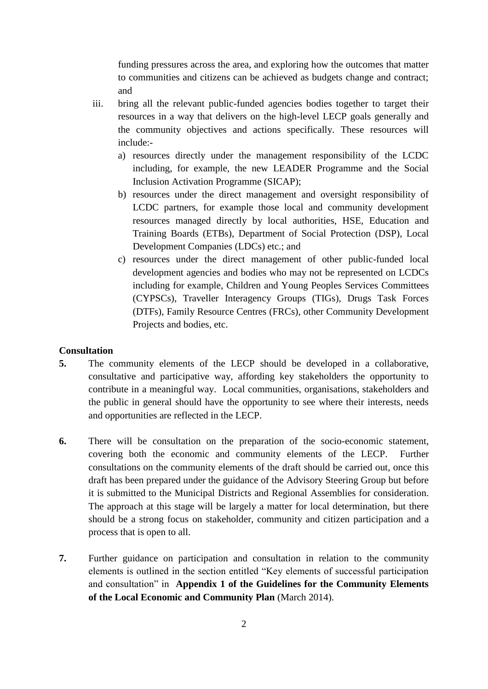funding pressures across the area, and exploring how the outcomes that matter to communities and citizens can be achieved as budgets change and contract; and

- iii. bring all the relevant public-funded agencies bodies together to target their resources in a way that delivers on the high-level LECP goals generally and the community objectives and actions specifically. These resources will include:
	- a) resources directly under the management responsibility of the LCDC including, for example, the new LEADER Programme and the Social Inclusion Activation Programme (SICAP);
	- b) resources under the direct management and oversight responsibility of LCDC partners, for example those local and community development resources managed directly by local authorities, HSE, Education and Training Boards (ETBs), Department of Social Protection (DSP), Local Development Companies (LDCs) etc.; and
	- c) resources under the direct management of other public-funded local development agencies and bodies who may not be represented on LCDCs including for example, Children and Young Peoples Services Committees (CYPSCs), Traveller Interagency Groups (TIGs), Drugs Task Forces (DTFs), Family Resource Centres (FRCs), other Community Development Projects and bodies, etc.

#### **Consultation**

- **5.** The community elements of the LECP should be developed in a collaborative, consultative and participative way, affording key stakeholders the opportunity to contribute in a meaningful way. Local communities, organisations, stakeholders and the public in general should have the opportunity to see where their interests, needs and opportunities are reflected in the LECP.
- **6.** There will be consultation on the preparation of the socio-economic statement, covering both the economic and community elements of the LECP. Further consultations on the community elements of the draft should be carried out, once this draft has been prepared under the guidance of the Advisory Steering Group but before it is submitted to the Municipal Districts and Regional Assemblies for consideration. The approach at this stage will be largely a matter for local determination, but there should be a strong focus on stakeholder, community and citizen participation and a process that is open to all.
- **7.** Further guidance on participation and consultation in relation to the community elements is outlined in the section entitled "Key elements of successful participation and consultation" in **Appendix 1 of the Guidelines for the Community Elements of the Local Economic and Community Plan** (March 2014).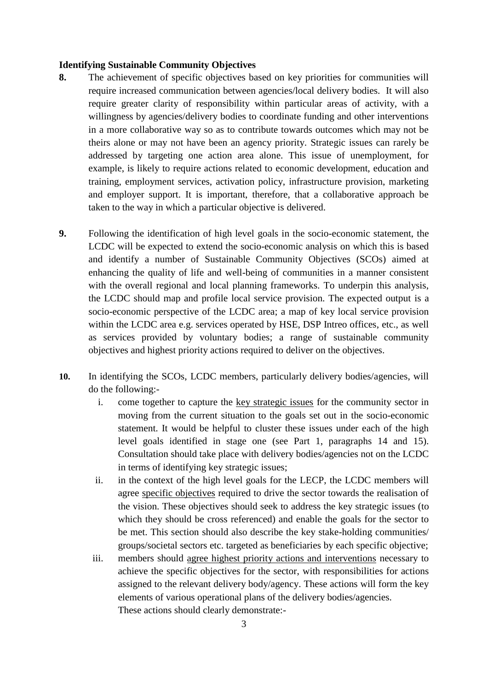#### **Identifying Sustainable Community Objectives**

- **8.** The achievement of specific objectives based on key priorities for communities will require increased communication between agencies/local delivery bodies. It will also require greater clarity of responsibility within particular areas of activity, with a willingness by agencies/delivery bodies to coordinate funding and other interventions in a more collaborative way so as to contribute towards outcomes which may not be theirs alone or may not have been an agency priority. Strategic issues can rarely be addressed by targeting one action area alone. This issue of unemployment, for example, is likely to require actions related to economic development, education and training, employment services, activation policy, infrastructure provision, marketing and employer support. It is important, therefore, that a collaborative approach be taken to the way in which a particular objective is delivered.
- **9.** Following the identification of high level goals in the socio-economic statement, the LCDC will be expected to extend the socio-economic analysis on which this is based and identify a number of Sustainable Community Objectives (SCOs) aimed at enhancing the quality of life and well-being of communities in a manner consistent with the overall regional and local planning frameworks. To underpin this analysis, the LCDC should map and profile local service provision. The expected output is a socio-economic perspective of the LCDC area; a map of key local service provision within the LCDC area e.g. services operated by HSE, DSP Intreo offices, etc., as well as services provided by voluntary bodies; a range of sustainable community objectives and highest priority actions required to deliver on the objectives.
- **10.** In identifying the SCOs, LCDC members, particularly delivery bodies/agencies, will do the following:
	- i. come together to capture the key strategic issues for the community sector in moving from the current situation to the goals set out in the socio-economic statement. It would be helpful to cluster these issues under each of the high level goals identified in stage one (see Part 1, paragraphs 14 and 15). Consultation should take place with delivery bodies/agencies not on the LCDC in terms of identifying key strategic issues;
	- ii. in the context of the high level goals for the LECP, the LCDC members will agree specific objectives required to drive the sector towards the realisation of the vision. These objectives should seek to address the key strategic issues (to which they should be cross referenced) and enable the goals for the sector to be met. This section should also describe the key stake-holding communities/ groups/societal sectors etc. targeted as beneficiaries by each specific objective;
	- iii. members should agree highest priority actions and interventions necessary to achieve the specific objectives for the sector, with responsibilities for actions assigned to the relevant delivery body/agency. These actions will form the key elements of various operational plans of the delivery bodies/agencies. These actions should clearly demonstrate:-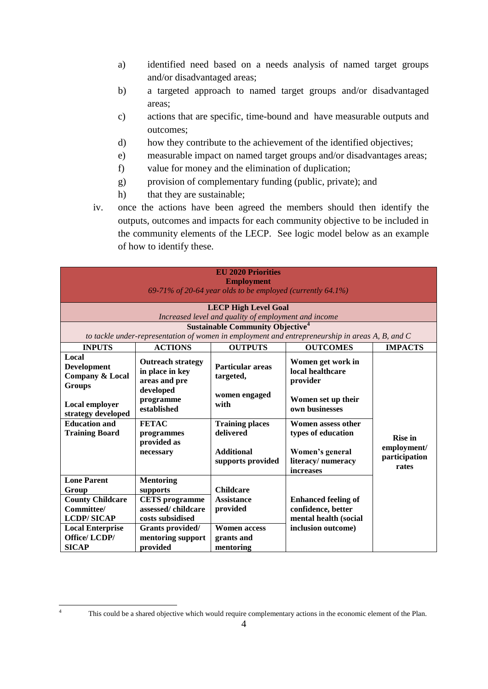- a) identified need based on a needs analysis of named target groups and/or disadvantaged areas;
- b) a targeted approach to named target groups and/or disadvantaged areas;
- c) actions that are specific, time-bound and have measurable outputs and outcomes;
- d) how they contribute to the achievement of the identified objectives;
- e) measurable impact on named target groups and/or disadvantages areas;
- f) value for money and the elimination of duplication;
- g) provision of complementary funding (public, private); and
- h) that they are sustainable;
- iv. once the actions have been agreed the members should then identify the outputs, outcomes and impacts for each community objective to be included in the community elements of the LECP. See logic model below as an example of how to identify these.

| <b>EU 2020 Priorities</b><br><b>Employment</b><br>69-71% of 20-64 year olds to be employed (currently 64.1%) |                                                                 |                                                |                                                                           |                                       |
|--------------------------------------------------------------------------------------------------------------|-----------------------------------------------------------------|------------------------------------------------|---------------------------------------------------------------------------|---------------------------------------|
| <b>LECP High Level Goal</b><br>Increased level and quality of employment and income                          |                                                                 |                                                |                                                                           |                                       |
| <b>Sustainable Community Objective</b> <sup>4</sup>                                                          |                                                                 |                                                |                                                                           |                                       |
| to tackle under-representation of women in employment and entrepreneurship in areas A, B, and C              |                                                                 |                                                |                                                                           |                                       |
| <b>INPUTS</b>                                                                                                | <b>ACTIONS</b>                                                  | <b>OUTPUTS</b>                                 | <b>OUTCOMES</b>                                                           | <b>IMPACTS</b>                        |
| Local<br><b>Development</b><br><b>Company &amp; Local</b><br><b>Groups</b>                                   | <b>Outreach strategy</b><br>in place in key<br>areas and pre    | <b>Particular areas</b><br>targeted,           | Women get work in<br>local healthcare<br>provider                         |                                       |
| Local employer<br>strategy developed                                                                         | developed<br>programme<br>established                           | women engaged<br>with                          | Women set up their<br>own businesses                                      |                                       |
| <b>Education and</b><br><b>Training Board</b>                                                                | <b>FETAC</b><br>programmes<br>provided as                       | <b>Training places</b><br>delivered            | Women assess other<br>types of education                                  | <b>Rise in</b>                        |
|                                                                                                              | necessary                                                       | <b>Additional</b><br>supports provided         | Women's general<br>literacy/numeracy<br>increases                         | employment/<br>participation<br>rates |
| <b>Lone Parent</b>                                                                                           | <b>Mentoring</b>                                                |                                                |                                                                           |                                       |
| Group                                                                                                        | supports                                                        | <b>Childcare</b>                               |                                                                           |                                       |
| <b>County Childcare</b><br>Committee/<br><b>LCDP/SICAP</b>                                                   | <b>CETS</b> programme<br>assessed/childcare<br>costs subsidised | <b>Assistance</b><br>provided                  | <b>Enhanced feeling of</b><br>confidence, better<br>mental health (social |                                       |
| <b>Local Enterprise</b><br>Office/LCDP/<br><b>SICAP</b>                                                      | Grants provided/<br>mentoring support<br>provided               | <b>Women access</b><br>grants and<br>mentoring | inclusion outcome)                                                        |                                       |

 $\overline{4}$ 

This could be a shared objective which would require complementary actions in the economic element of the Plan.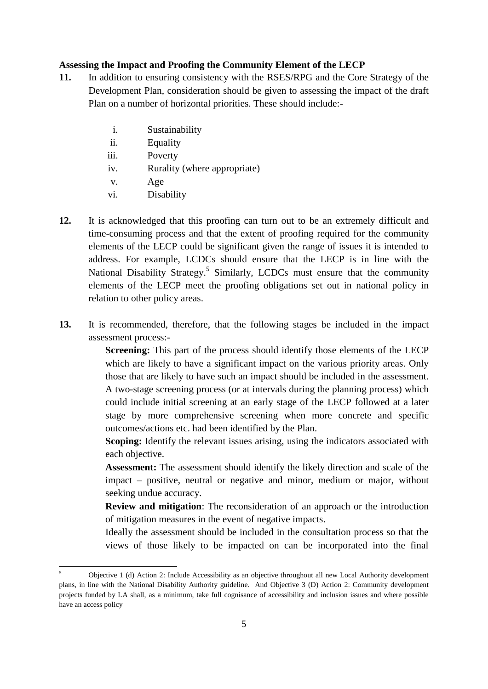#### **Assessing the Impact and Proofing the Community Element of the LECP**

- **11.** In addition to ensuring consistency with the RSES/RPG and the Core Strategy of the Development Plan, consideration should be given to assessing the impact of the draft Plan on a number of horizontal priorities. These should include:
	- i. Sustainability
	- ii. Equality
	- iii. Poverty
	- iv. Rurality (where appropriate)
	- v. Age
	- vi. Disability
- **12.** It is acknowledged that this proofing can turn out to be an extremely difficult and time-consuming process and that the extent of proofing required for the community elements of the LECP could be significant given the range of issues it is intended to address. For example, LCDCs should ensure that the LECP is in line with the National Disability Strategy.<sup>5</sup> Similarly, LCDCs must ensure that the community elements of the LECP meet the proofing obligations set out in national policy in relation to other policy areas.
- **13.** It is recommended, therefore, that the following stages be included in the impact assessment process:-

**Screening:** This part of the process should identify those elements of the LECP which are likely to have a significant impact on the various priority areas. Only those that are likely to have such an impact should be included in the assessment. A two-stage screening process (or at intervals during the planning process) which could include initial screening at an early stage of the LECP followed at a later stage by more comprehensive screening when more concrete and specific outcomes/actions etc. had been identified by the Plan.

**Scoping:** Identify the relevant issues arising, using the indicators associated with each objective.

**Assessment:** The assessment should identify the likely direction and scale of the impact – positive, neutral or negative and minor, medium or major, without seeking undue accuracy.

**Review and mitigation**: The reconsideration of an approach or the introduction of mitigation measures in the event of negative impacts.

Ideally the assessment should be included in the consultation process so that the views of those likely to be impacted on can be incorporated into the final

 $\leq$ <sup>5</sup> Objective 1 (d) Action 2: Include Accessibility as an objective throughout all new Local Authority development plans, in line with the National Disability Authority guideline. And Objective 3 (D) Action 2: Community development projects funded by LA shall, as a minimum, take full cognisance of accessibility and inclusion issues and where possible have an access policy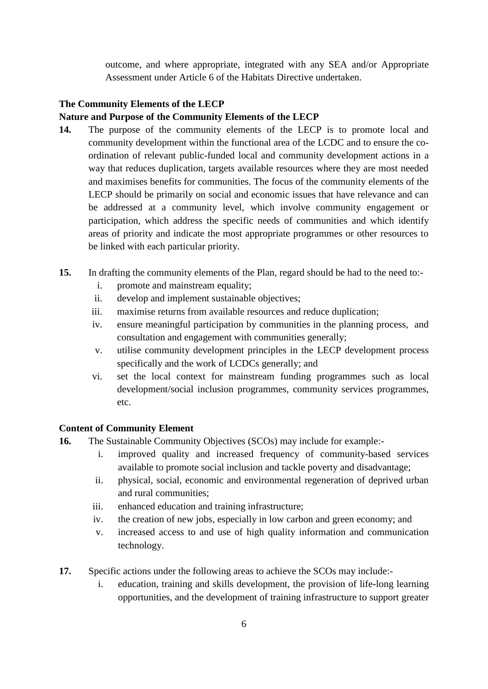outcome, and where appropriate, integrated with any SEA and/or Appropriate Assessment under Article 6 of the Habitats Directive undertaken.

## **The Community Elements of the LECP**

## **Nature and Purpose of the Community Elements of the LECP**

- **14.** The purpose of the community elements of the LECP is to promote local and community development within the functional area of the LCDC and to ensure the coordination of relevant public-funded local and community development actions in a way that reduces duplication, targets available resources where they are most needed and maximises benefits for communities. The focus of the community elements of the LECP should be primarily on social and economic issues that have relevance and can be addressed at a community level, which involve community engagement or participation, which address the specific needs of communities and which identify areas of priority and indicate the most appropriate programmes or other resources to be linked with each particular priority.
- **15.** In drafting the community elements of the Plan, regard should be had to the need to:
	- i. promote and mainstream equality;
	- ii. develop and implement sustainable objectives;
	- iii. maximise returns from available resources and reduce duplication;
	- iv. ensure meaningful participation by communities in the planning process, and consultation and engagement with communities generally;
	- v. utilise community development principles in the LECP development process specifically and the work of LCDCs generally; and
	- vi. set the local context for mainstream funding programmes such as local development/social inclusion programmes, community services programmes, etc.

#### **Content of Community Element**

- **16.** The Sustainable Community Objectives (SCOs) may include for example:
	- i. improved quality and increased frequency of community-based services available to promote social inclusion and tackle poverty and disadvantage;
	- ii. physical, social, economic and environmental regeneration of deprived urban and rural communities;
	- iii. enhanced education and training infrastructure;
	- iv. the creation of new jobs, especially in low carbon and green economy; and
	- v. increased access to and use of high quality information and communication technology.
- **17.** Specific actions under the following areas to achieve the SCOs may include:
	- i. education, training and skills development, the provision of life-long learning opportunities, and the development of training infrastructure to support greater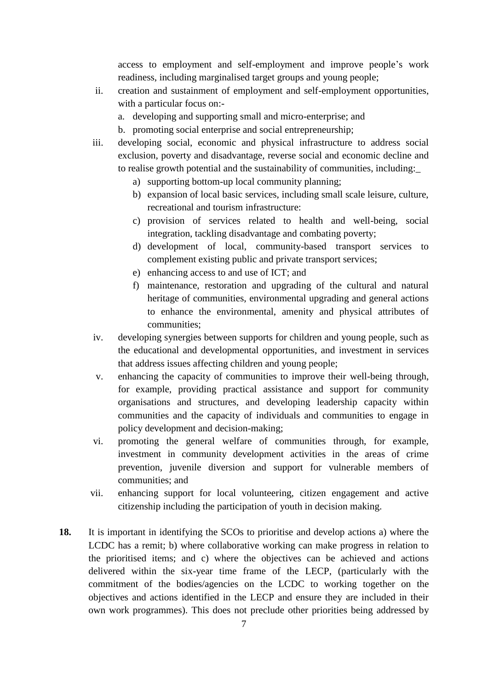access to employment and self-employment and improve people's work readiness, including marginalised target groups and young people;

- ii. creation and sustainment of employment and self-employment opportunities, with a particular focus on:
	- a. developing and supporting small and micro-enterprise; and
	- b. promoting social enterprise and social entrepreneurship;
- iii. developing social, economic and physical infrastructure to address social exclusion, poverty and disadvantage, reverse social and economic decline and to realise growth potential and the sustainability of communities, including:\_
	- a) supporting bottom-up local community planning;
	- b) expansion of local basic services, including small scale leisure, culture, recreational and tourism infrastructure:
	- c) provision of services related to health and well-being, social integration, tackling disadvantage and combating poverty;
	- d) development of local, community-based transport services to complement existing public and private transport services;
	- e) enhancing access to and use of ICT; and
	- f) maintenance, restoration and upgrading of the cultural and natural heritage of communities, environmental upgrading and general actions to enhance the environmental, amenity and physical attributes of communities;
- iv. developing synergies between supports for children and young people, such as the educational and developmental opportunities, and investment in services that address issues affecting children and young people;
- v. enhancing the capacity of communities to improve their well-being through, for example, providing practical assistance and support for community organisations and structures, and developing leadership capacity within communities and the capacity of individuals and communities to engage in policy development and decision-making;
- vi. promoting the general welfare of communities through, for example, investment in community development activities in the areas of crime prevention, juvenile diversion and support for vulnerable members of communities; and
- vii. enhancing support for local volunteering, citizen engagement and active citizenship including the participation of youth in decision making.
- **18.** It is important in identifying the SCOs to prioritise and develop actions a) where the LCDC has a remit; b) where collaborative working can make progress in relation to the prioritised items; and c) where the objectives can be achieved and actions delivered within the six-year time frame of the LECP, (particularly with the commitment of the bodies/agencies on the LCDC to working together on the objectives and actions identified in the LECP and ensure they are included in their own work programmes). This does not preclude other priorities being addressed by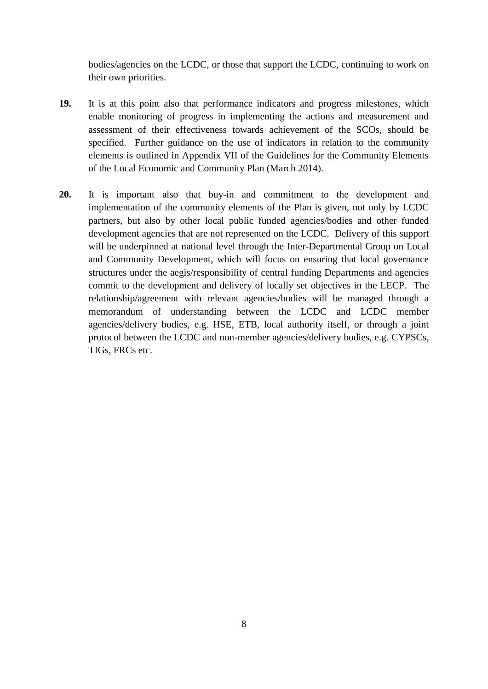bodies/agencies on the LCDC, or those that support the LCDC, continuing to work on their own priorities.

- **19.** It is at this point also that performance indicators and progress milestones, which enable monitoring of progress in implementing the actions and measurement and assessment of their effectiveness towards achievement of the SCOs, should be specified. Further guidance on the use of indicators in relation to the community elements is outlined in Appendix VII of the Guidelines for the Community Elements of the Local Economic and Community Plan (March 2014).
- **20.** It is important also that buy-in and commitment to the development and implementation of the community elements of the Plan is given, not only by LCDC partners, but also by other local public funded agencies/bodies and other funded development agencies that are not represented on the LCDC. Delivery of this support will be underpinned at national level through the Inter-Departmental Group on Local and Community Development, which will focus on ensuring that local governance structures under the aegis/responsibility of central funding Departments and agencies commit to the development and delivery of locally set objectives in the LECP. The relationship/agreement with relevant agencies/bodies will be managed through a memorandum of understanding between the LCDC and LCDC member agencies/delivery bodies, e.g. HSE, ETB, local authority itself, or through a joint protocol between the LCDC and non-member agencies/delivery bodies, e.g. CYPSCs, TIGs, FRCs etc.